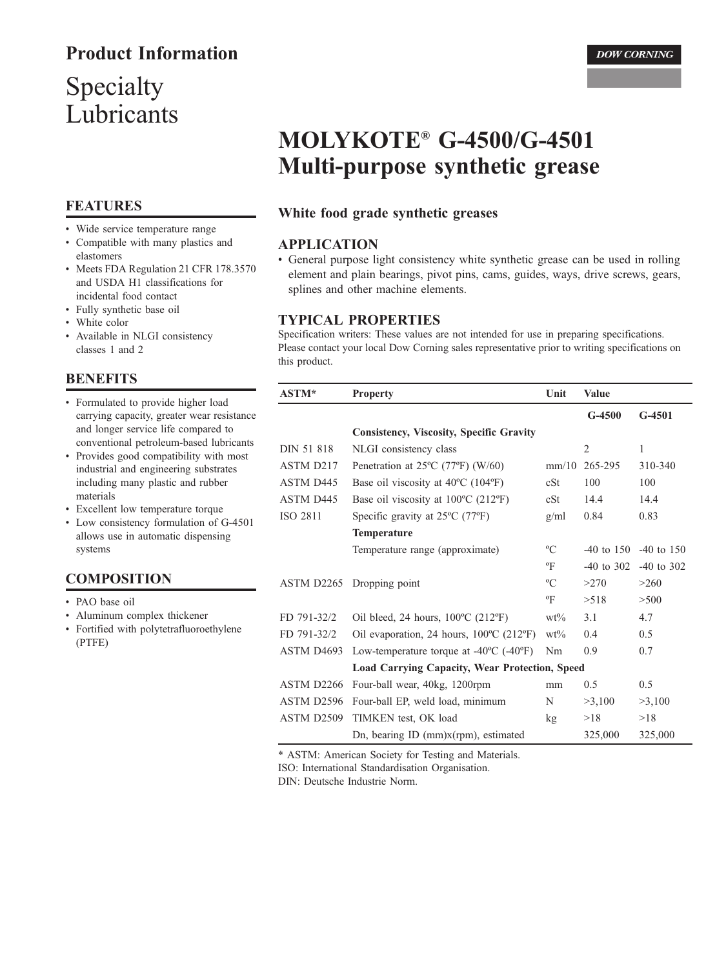# **Product Information**

# Specialty Lubricants

### **FEATURES**

• Wide service temperature range

- Compatible with many plastics and elastomers
- Meets FDA Regulation 21 CFR 178.3570 and USDA H1 classifications for incidental food contact
- · Fully synthetic base oil
- White color
- Available in NLGI consistency classes 1 and 2

#### **BENEFITS**

- Formulated to provide higher load carrying capacity, greater wear resistance and longer service life compared to conventional petroleum-based lubricants
- Provides good compatibility with most industrial and engineering substrates including many plastic and rubber materials
- Excellent low temperature torque
- Low consistency formulation of G-4501 allows use in automatic dispensing systems

#### **COMPOSITION**

- PAO base oil
- Aluminum complex thickener • Fortified with polytetrafluoroethylene  $(PTFE)$

# **MOLYKOTE<sup>®</sup> G-4500/G-4501** Multi-purpose synthetic grease

#### White food grade synthetic greases

#### **APPLICATION**

• General purpose light consistency white synthetic grease can be used in rolling element and plain bearings, pivot pins, cams, guides, ways, drive screws, gears, splines and other machine elements.

#### **TYPICAL PROPERTIES**

Specification writers: These values are not intended for use in preparing specifications. Please contact your local Dow Corning sales representative prior to writing specifications on this product.

| <b>ASTM*</b> | <b>Property</b>                                               | Unit            | Value         |              |
|--------------|---------------------------------------------------------------|-----------------|---------------|--------------|
|              |                                                               |                 | $G-4500$      | $G-4501$     |
|              | <b>Consistency, Viscosity, Specific Gravity</b>               |                 |               |              |
| DIN 51 818   | NLGI consistency class                                        |                 | 2             | 1            |
| ASTM D217    | Penetration at $25^{\circ}$ C (77°F) (W/60)                   | mm/10           | 265-295       | 310-340      |
| ASTM D445    | Base oil viscosity at $40^{\circ}$ C (104 $^{\circ}$ F)       | cSt             | 100           | 100          |
| ASTM D445    | Base oil viscosity at $100^{\circ}$ C (212 $^{\circ}$ F)      | cSt             | 14.4          | 14.4         |
| ISO 2811     | Specific gravity at 25°C (77°F)                               | g/ml            | 0.84          | 0.83         |
|              | <b>Temperature</b>                                            |                 |               |              |
|              | Temperature range (approximate)                               | $\rm ^{o}C$     | -40 to 150    | $-40$ to 150 |
|              |                                                               | °F              | $-40$ to 302  | $-40$ to 302 |
|              | ASTM D2265 Dropping point                                     | $\rm ^{o}C$     | >270          | >260         |
|              |                                                               | $\mathrm{P}$    | >518          | >500         |
| FD 791-32/2  | Oil bleed, 24 hours, $100^{\circ}$ C (212 $^{\circ}$ F)       | $wt\%$          | 3.1           | 4.7          |
| FD 791-32/2  | Oil evaporation, 24 hours, $100^{\circ}$ C (212 $^{\circ}$ F) | $wt\%$          | $0.4^{\circ}$ | 0.5          |
| ASTM D4693   | Low-temperature torque at $-40^{\circ}$ C ( $-40^{\circ}$ F)  | Nm              | 0.9           | 0.7          |
|              | Load Carrying Capacity, Wear Protection, Speed                |                 |               |              |
| ASTM D2266   | Four-ball wear, 40kg, 1200rpm                                 | mm              | 0.5           | 0.5          |
| ASTM D2596   | Four-ball EP, weld load, minimum                              | N               | >3,100        | >3,100       |
| ASTM D2509   | TIMKEN test, OK load                                          | $k\mathfrak{g}$ | >18           | >18          |
|              | Dn, bearing ID $(mm)x(rpm)$ , estimated                       |                 | 325,000       | 325,000      |

\* ASTM: American Society for Testing and Materials.

ISO: International Standardisation Organisation.

DIN: Deutsche Industrie Norm.